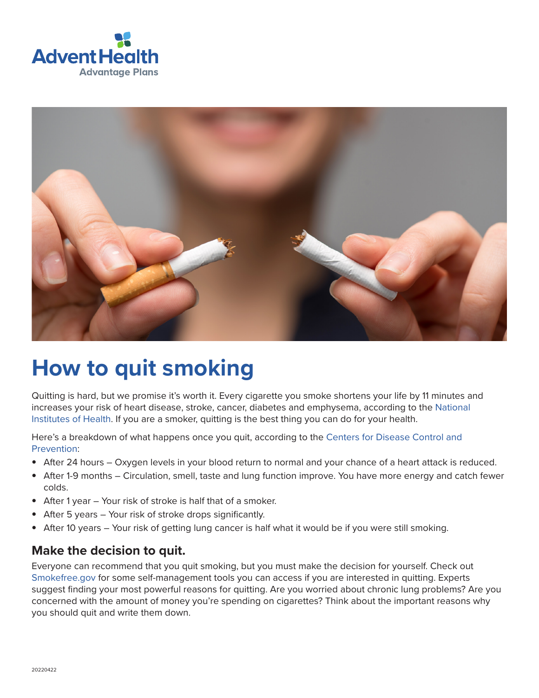



# **How to quit smoking**

Quitting is hard, but we promise it's worth it. Every cigarette you smoke shortens your life by 11 minutes and increases your risk of heart disease, stroke, cancer, diabetes and emphysema, according to the [National](https://www.ncbi.nlm.nih.gov/pmc/articles/PMC1117323/)  [Institutes of Health](https://www.ncbi.nlm.nih.gov/pmc/articles/PMC1117323/). If you are a smoker, quitting is the best thing you can do for your health.

Here's a breakdown of what happens once you quit, according to the [Centers for Disease Control and](https://www.cdc.gov/tobacco/quit_smoking/how_to_quit/benefits/index.htm)  [Prevention:](https://www.cdc.gov/tobacco/quit_smoking/how_to_quit/benefits/index.htm)

- After 24 hours Oxygen levels in your blood return to normal and your chance of a heart attack is reduced.
- After 1-9 months Circulation, smell, taste and lung function improve. You have more energy and catch fewer colds.
- After 1 year Your risk of stroke is half that of a smoker.
- After 5 years Your risk of stroke drops significantly.
- After 10 years Your risk of getting lung cancer is half what it would be if you were still smoking.

#### **Make the decision to quit.**

Everyone can recommend that you quit smoking, but you must make the decision for yourself. Check out [Smokefree.gov](https://smokefree.gov/build-your-quit-plan) for some self-management tools you can access if you are interested in quitting. Experts suggest finding your most powerful reasons for quitting. Are you worried about chronic lung problems? Are you concerned with the amount of money you're spending on cigarettes? Think about the important reasons why you should quit and write them down.